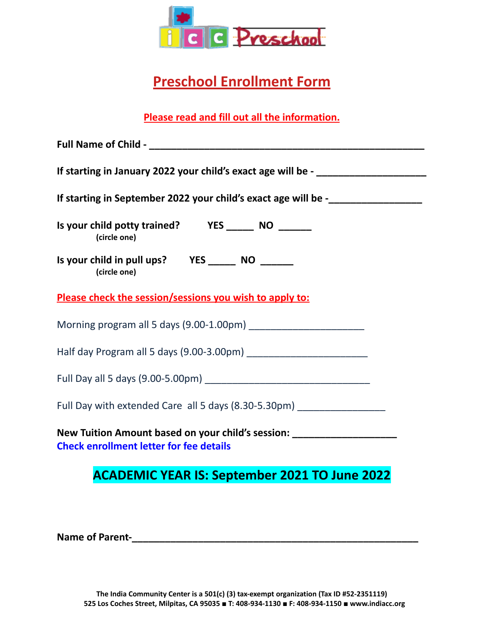

## **Preschool Enrollment Form**

**Please read and fill out all the information.**

| If starting in January 2022 your child's exact age will be - ___________________                                                   |
|------------------------------------------------------------------------------------------------------------------------------------|
| If starting in September 2022 your child's exact age will be -                                                                     |
| Is your child potty trained? YES _________ NO ________<br>(circle one)                                                             |
| (circle one)                                                                                                                       |
| Please check the session/sessions you wish to apply to:                                                                            |
|                                                                                                                                    |
|                                                                                                                                    |
|                                                                                                                                    |
| Full Day with extended Care all 5 days (8.30-5.30pm) ___________________________                                                   |
| New Tuition Amount based on your child's session: ______________________________<br><b>Check enrollment letter for fee details</b> |
|                                                                                                                                    |

## **ACADEMIC YEAR IS: September 2021 TO June 2022**

**Name of Parent-\_\_\_\_\_\_\_\_\_\_\_\_\_\_\_\_\_\_\_\_\_\_\_\_\_\_\_\_\_\_\_\_\_\_\_\_\_\_\_\_\_\_\_\_\_\_\_\_\_\_\_\_**